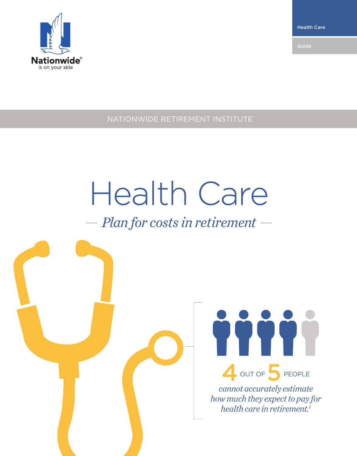

Health Care

Guide

NATIONWIDE RETIREMENT INSTITUTE®

# Health Care

### *Plan for costs in retirement*

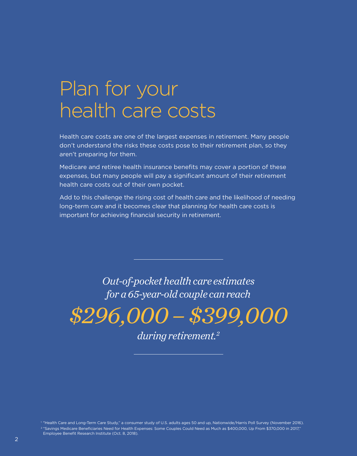### Plan for your health care costs

Health care costs are one of the largest expenses in retirement. Many people don't understand the risks these costs pose to their retirement plan, so they aren't preparing for them.

Medicare and retiree health insurance benefits may cover a portion of these expenses, but many people will pay a significant amount of their retirement health care costs out of their own pocket.

Add to this challenge the rising cost of health care and the likelihood of needing long-term care and it becomes clear that planning for health care costs is important for achieving financial security in retirement.

> *Out-of-pocket health care estimates for a 65-year-old couple can reach*

*\$296,000 – \$399,000*

*during retirement.2*

<sup>1</sup> "Health Care and Long-Term Care Study," a consumer study of U.S. adults ages 50 and up, Nationwide/Harris Poll Survey (November 2016). <sup>2</sup> "Savings Medicare Beneficiaries Need for Health Expenses: Some Couples Could Need as Much as \$400,000, Up From \$370,000 in 2017," Employee Benefit Research Institute (Oct. 8, 2018).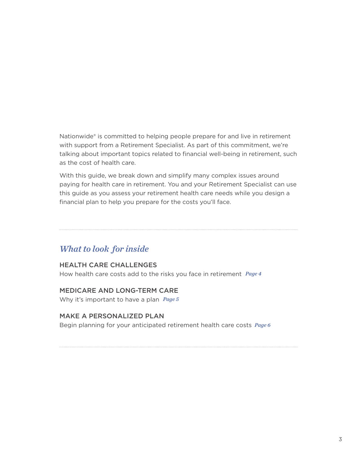Nationwide® is committed to helping people prepare for and live in retirement with support from a Retirement Specialist. As part of this commitment, we're talking about important topics related to financial well-being in retirement, such as the cost of health care.

With this guide, we break down and simplify many complex issues around paying for health care in retirement. You and your Retirement Specialist can use this guide as you assess your retirement health care needs while you design a financial plan to help you prepare for the costs you'll face.

### *What to look for inside*

### HEALTH CARE CHALLENGES

How health care costs add to the risks you face in retirement *Page 4*

### MEDICARE AND LONG-TERM CARE

Why it's important to have a plan *Page 5*

### MAKE A PERSONALIZED PLAN

Begin planning for your anticipated retirement health care costs *Page 6*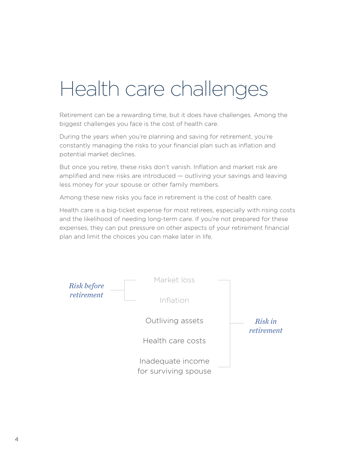# Health care challenges

Retirement can be a rewarding time, but it does have challenges. Among the biggest challenges you face is the cost of health care.

During the years when you're planning and saving for retirement, you're constantly managing the risks to your financial plan such as inflation and potential market declines.

But once you retire, these risks don't vanish. Inflation and market risk are amplified and new risks are introduced — outliving your savings and leaving less money for your spouse or other family members.

Among these new risks you face in retirement is the cost of health care.

Health care is a big-ticket expense for most retirees, especially with rising costs and the likelihood of needing long-term care. If you're not prepared for these expenses, they can put pressure on other aspects of your retirement financial plan and limit the choices you can make later in life.

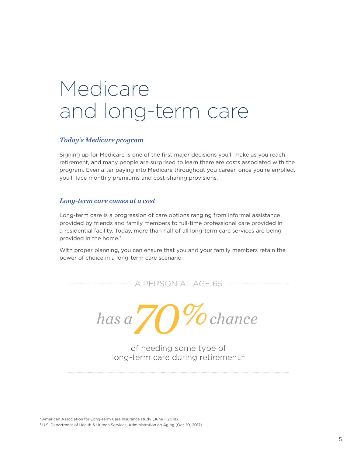## Medicare and long-term care

#### *Today's Medicare program*

Signing up for Medicare is one of the first major decisions you'll make as you reach retirement, and many people are surprised to learn there are costs associated with the program. Even after paying into Medicare throughout you career, once you're enrolled, you'll face monthly premiums and cost-sharing provisions.

#### *Long-term care comes at a cost*

Long-term care is a progression of care options ranging from informal assistance provided by friends and family members to full-time professional care provided in a residential facility. Today, more than half of all long-term care services are being provided in the home.<sup>3</sup>

With proper planning, you can ensure that you and your family members retain the power of choice in a long-term care scenario.

A PERSON AT AGE 65

*has a70%chance*

of needing some type of long-term care during retirement.<sup>4</sup>

<sup>3</sup> American Association for Long-Term Care Insurance study (June 1, 2018).

<sup>4</sup> U.S. Department of Health & Human Services, Administration on Aging (Oct. 10, 2017).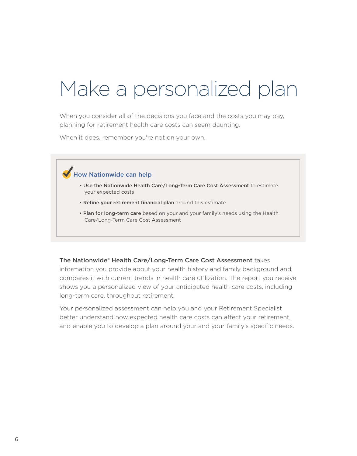# Make a personalized plan

When you consider all of the decisions you face and the costs you may pay, planning for retirement health care costs can seem daunting.

When it does, remember you're not on your own.

### How Nationwide can help

- Use the Nationwide Health Care/Long-Term Care Cost Assessment to estimate your expected costs
- Refine your retirement financial plan around this estimate
- Plan for long-term care based on your and your family's needs using the Health Care/Long-Term Care Cost Assessment

#### The Nationwide® Health Care/Long-Term Care Cost Assessment takes

information you provide about your health history and family background and compares it with current trends in health care utilization. The report you receive shows you a personalized view of your anticipated health care costs, including long-term care, throughout retirement.

Your personalized assessment can help you and your Retirement Specialist better understand how expected health care costs can affect your retirement, and enable you to develop a plan around your and your family's specific needs.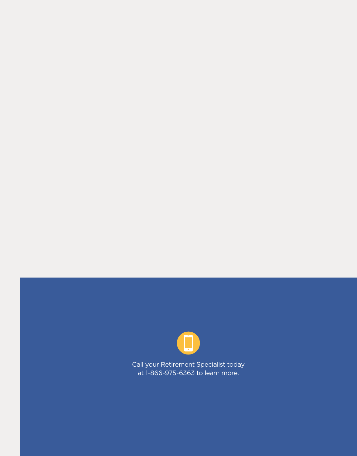

Call your Retirement Specialist today at 1-866-975-6363 to learn more.